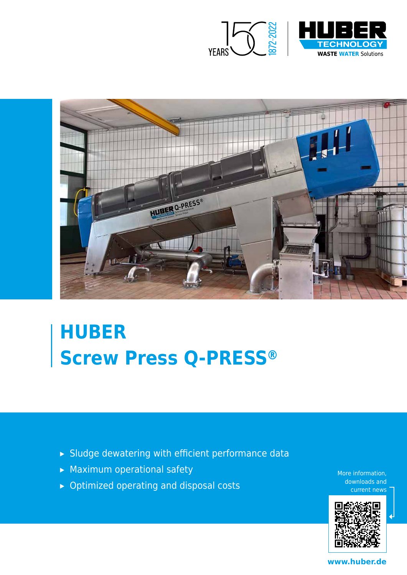



# **HUBER Screw Press Q-PRESS®**

- ▸ Sludge dewatering with efficient performance data
- ▸ Maximum operational safety
- ▸ Optimized operating and disposal costs

More information, downloads and current news



**www.huber.de**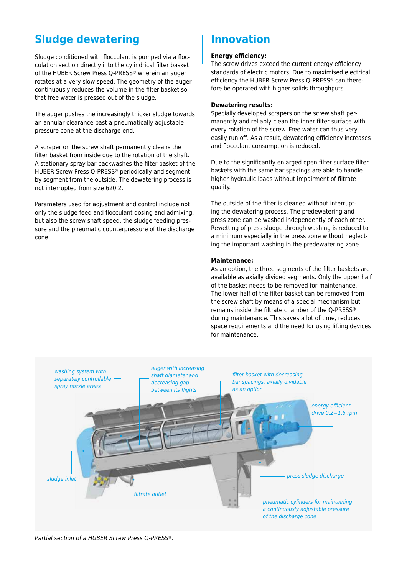## **Sludge dewatering Innovation**

Sludge conditioned with flocculant is pumped via a flocculation section directly into the cylindrical filter basket of the HUBER Screw Press Q-PRESS® wherein an auger rotates at a very slow speed. The geometry of the auger continuously reduces the volume in the filter basket so that free water is pressed out of the sludge.

The auger pushes the increasingly thicker sludge towards an annular clearance past a pneumatically adjustable pressure cone at the discharge end.

A scraper on the screw shaft permanently cleans the filter basket from inside due to the rotation of the shaft. A stationary spray bar backwashes the filter basket of the HUBER Screw Press Q-PRESS® periodically and segment by segment from the outside. The dewatering process is not interrupted from size 620.2.

Parameters used for adjustment and control include not only the sludge feed and flocculant dosing and admixing, but also the screw shaft speed, the sludge feeding pressure and the pneumatic counterpressure of the discharge cone.

#### **Energy efficiency:**

The screw drives exceed the current energy efficiency standards of electric motors. Due to maximised electrical efficiency the HUBER Screw Press Q-PRESS® can therefore be operated with higher solids throughputs.

#### **Dewatering results:**

Specially developed scrapers on the screw shaft permanently and reliably clean the inner filter surface with every rotation of the screw. Free water can thus very easily run off. As a result, dewatering efficiency increases and flocculant consumption is reduced.

Due to the significantly enlarged open filter surface filter baskets with the same bar spacings are able to handle higher hydraulic loads without impairment of filtrate quality.

The outside of the filter is cleaned without interrupting the dewatering process. The predewatering and press zone can be washed independently of each other. Rewetting of press sludge through washing is reduced to a minimum especially in the press zone without neglecting the important washing in the predewatering zone.

#### **Maintenance:**

As an option, the three segments of the filter baskets are available as axially divided segments. Only the upper half of the basket needs to be removed for maintenance. The lower half of the filter basket can be removed from the screw shaft by means of a special mechanism but remains inside the filtrate chamber of the Q-PRESS® during maintenance. This saves a lot of time, reduces space requirements and the need for using lifting devices for maintenance.



*Partial section of a HUBER Screw Press Q-PRESS®.*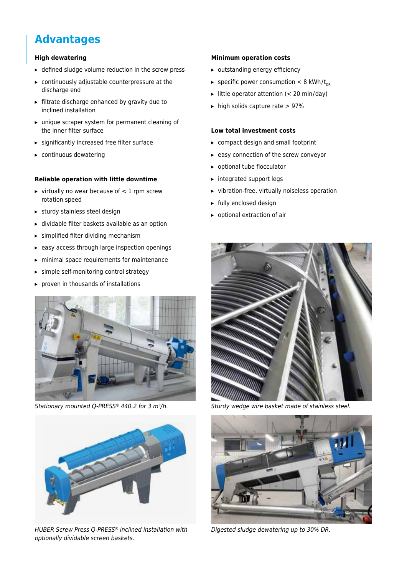## **Advantages**

#### **High dewatering**

- ▸ defined sludge volume reduction in the screw press
- ▸ continuously adjustable counterpressure at the discharge end
- ▸ filtrate discharge enhanced by gravity due to inclined installation
- ▸ unique scraper system for permanent cleaning of the inner filter surface
- ▸ significantly increased free filter surface
- ▸ continuous dewatering

#### **Reliable operation with little downtime**

- $\triangleright$  virtually no wear because of  $\lt 1$  rpm screw rotation speed
- ▸ sturdy stainless steel design
- ▸ dividable filter baskets available as an option
- $\triangleright$  simplified filter dividing mechanism
- ▸ easy access through large inspection openings
- ▸ minimal space requirements for maintenance
- ▸ simple self-monitoring control strategy
- ▸ proven in thousands of installations





*HUBER Screw Press Q-PRESS® inclined installation with*  optionally dividable screen baskets.

#### **Minimum operation costs**

- ▸ outstanding energy efficiency
- ► specific power consumption  $< 8$  kWh/t<sub>DR</sub>
- $\blacktriangleright$  little operator attention (< 20 min/day)
- ▸ high solids capture rate > 97 %

#### **Low total investment costs**

- ▸ compact design and small footprint
- ▸ easy connection of the screw conveyor
- ▸ optional tube flocculator
- ▸ integrated support legs
- ▸ vibration-free, virtually noiseless operation
- ▸ fully enclosed design
- ▸ optional extraction of air



*Stationary mounted Q-PRESS® 440.2 for 3 m<sup>3</sup>/h. 3/h. Sturdy wedge wire basket made of stainless steel.* 



Digested sludge dewatering up to 30 % DR.